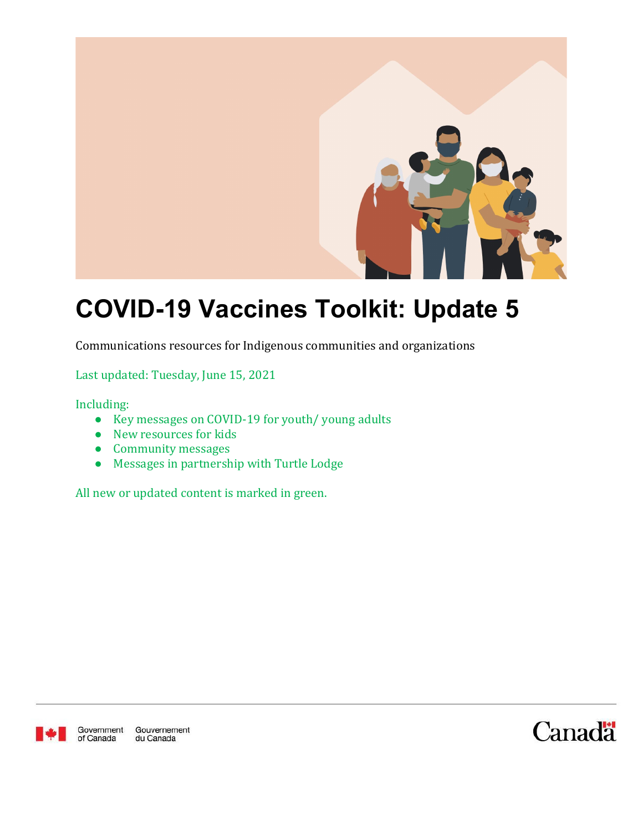

# **COVID-19 Vaccines Toolkit: Update 5**

Communications resources for Indigenous communities and organizations

Last updated: Tuesday, June 15, 2021

Including:

- Key messages on COVID-19 for youth/ young adults
- New resources for kids
- Community messages
- Messages in partnership with Turtle Lodge

All new or updated content is marked in green.



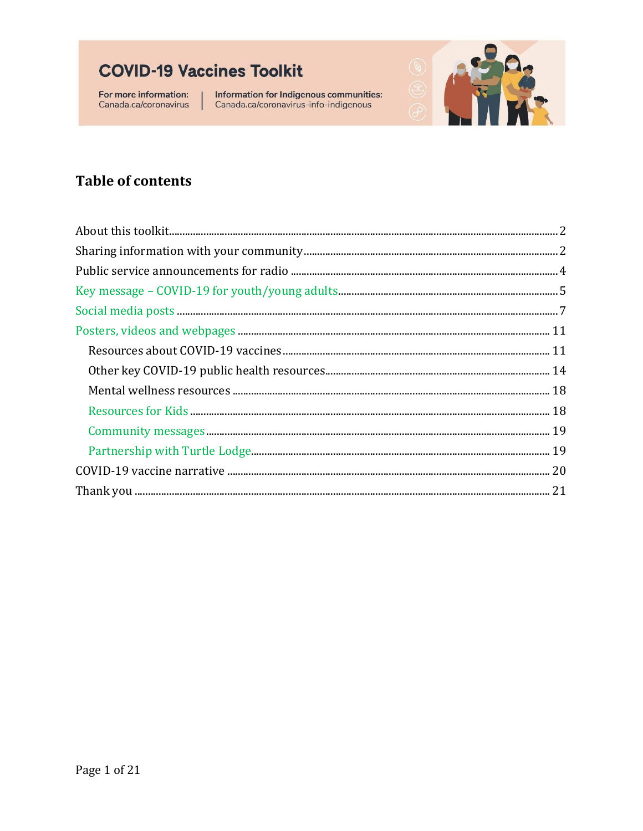For more information: Canada.ca/coronavirus Information for Indigenous communities:<br>Canada.ca/coronavirus-info-indigenous



### **Table of contents**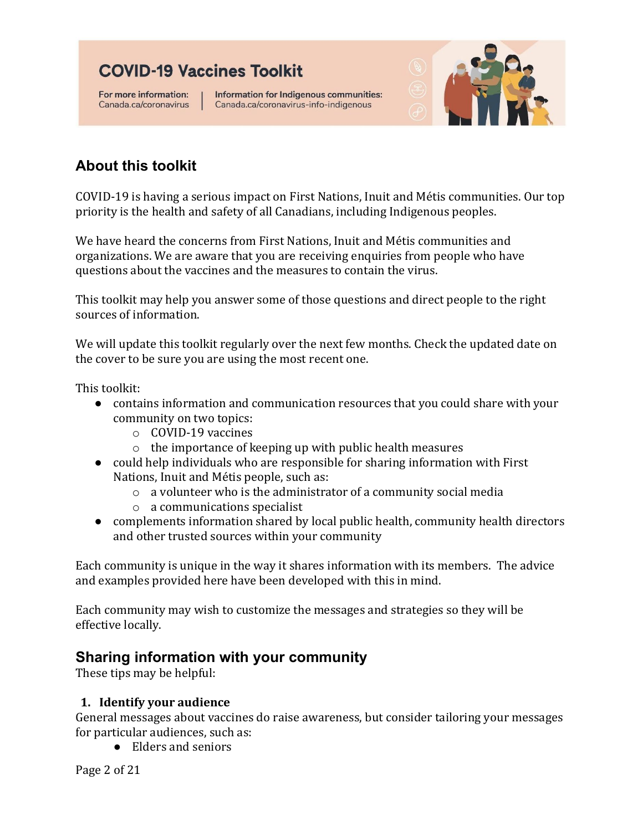For more information: Canada.ca/coronavirus Information for Indigenous communities: Canada.ca/coronavirus-info-indigenous



### <span id="page-2-0"></span>**About this toolkit**

COVID-19 is having a serious impact on First Nations, Inuit and Métis communities. Our top priority is the health and safety of all Canadians, including Indigenous peoples.

We have heard the concerns from First Nations, Inuit and Métis communities and organizations. We are aware that you are receiving enquiries from people who have questions about the vaccines and the measures to contain the virus.

This toolkit may help you answer some of those questions and direct people to the right sources of information.

We will update this toolkit regularly over the next few months. Check the updated date on the cover to be sure you are using the most recent one.

This toolkit:

- contains information and communication resources that you could share with your community on two topics:
	- o COVID-19 vaccines
	- o the importance of keeping up with public health measures
- could help individuals who are responsible for sharing information with First Nations, Inuit and Métis people, such as:
	- o a volunteer who is the administrator of a community social media
	- o a communications specialist
- complements information shared by local public health, community health directors and other trusted sources within your community

Each community is unique in the way it shares information with its members. The advice and examples provided here have been developed with this in mind.

Each community may wish to customize the messages and strategies so they will be effective locally.

### <span id="page-2-1"></span>**Sharing information with your community**

These tips may be helpful:

#### **1. Identify your audience**

General messages about vaccines do raise awareness, but consider tailoring your messages for particular audiences, such as:

● Elders and seniors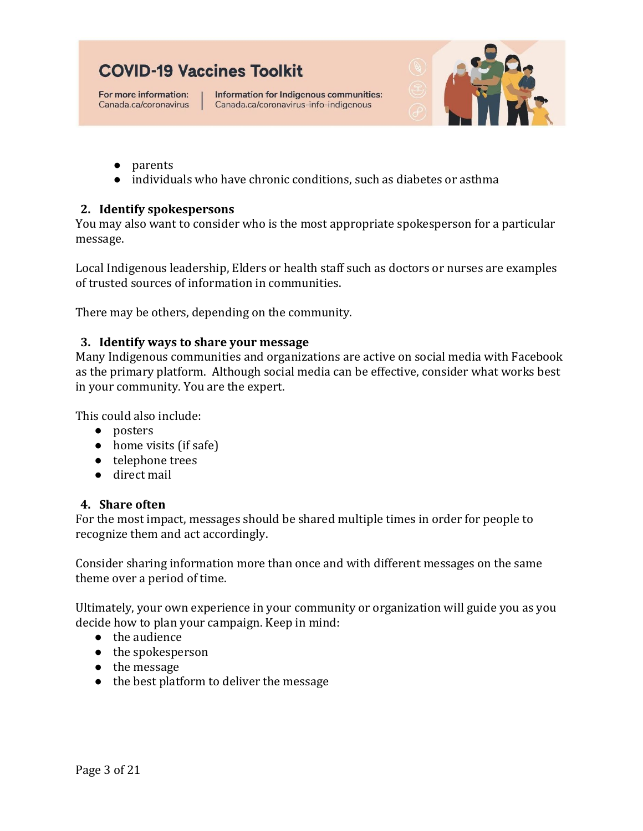For more information: Canada.ca/coronavirus

Information for Indigenous communities: Canada.ca/coronavirus-info-indigenous



- parents
- individuals who have chronic conditions, such as diabetes or asthma

#### **2. Identify spokespersons**

You may also want to consider who is the most appropriate spokesperson for a particular message.

Local Indigenous leadership, Elders or health staff such as doctors or nurses are examples of trusted sources of information in communities.

There may be others, depending on the community.

#### **3. Identify ways to share your message**

Many Indigenous communities and organizations are active on social media with Facebook as the primary platform. Although social media can be effective, consider what works best in your community. You are the expert.

This could also include:

- posters
- home visits (if safe)
- telephone trees
- direct mail

#### **4. Share often**

For the most impact, messages should be shared multiple times in order for people to recognize them and act accordingly.

Consider sharing information more than once and with different messages on the same theme over a period of time.

Ultimately, your own experience in your community or organization will guide you as you decide how to plan your campaign. Keep in mind:

- the audience
- the spokesperson
- the message
- the best platform to deliver the message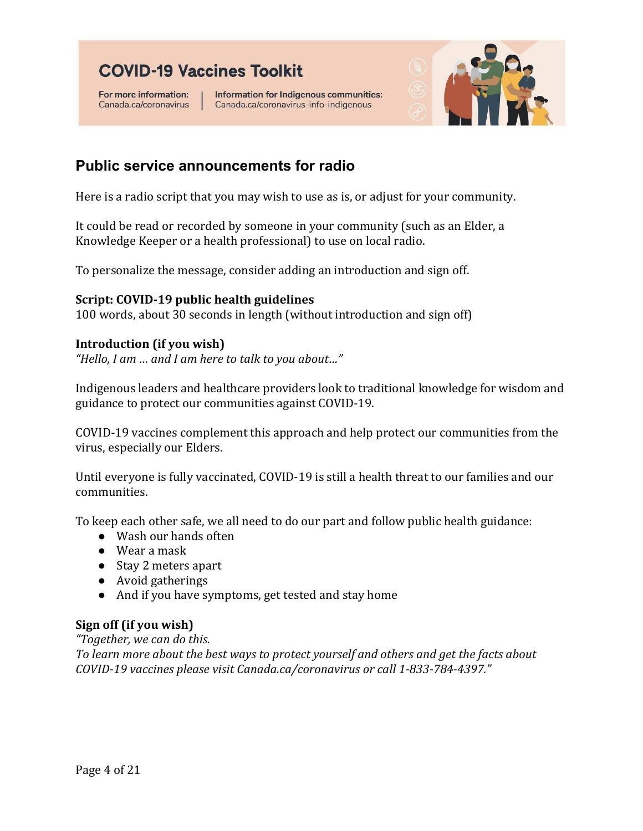For more information: Canada.ca/coronavirus

Information for Indigenous communities: Canada.ca/coronavirus-info-indigenous



### <span id="page-4-0"></span>**Public service announcements for radio**

Here is a radio script that you may wish to use as is, or adjust for your community.

It could be read or recorded by someone in your community (such as an Elder, a Knowledge Keeper or a health professional) to use on local radio.

To personalize the message, consider adding an introduction and sign off.

#### **Script: COVID-19 public health guidelines**

100 words, about 30 seconds in length (without introduction and sign off)

#### **Introduction (if you wish)**

*"Hello, I am … and I am here to talk to you about…"*

Indigenous leaders and healthcare providers look to traditional knowledge for wisdom and guidance to protect our communities against COVID-19.

COVID-19 vaccines complement this approach and help protect our communities from the virus, especially our Elders.

Until everyone is fully vaccinated, COVID-19 is still a health threat to our families and our communities.

To keep each other safe, we all need to do our part and follow public health guidance:

- Wash our hands often
- Wear a mask
- Stay 2 meters apart
- Avoid gatherings
- And if you have symptoms, get tested and stay home

#### **Sign off (if you wish)**

*"Together, we can do this.*

*To learn more about the best ways to protect yourself and others and get the facts about COVID-19 vaccines please visit Canada.ca/coronavirus or call 1-833-784-4397."*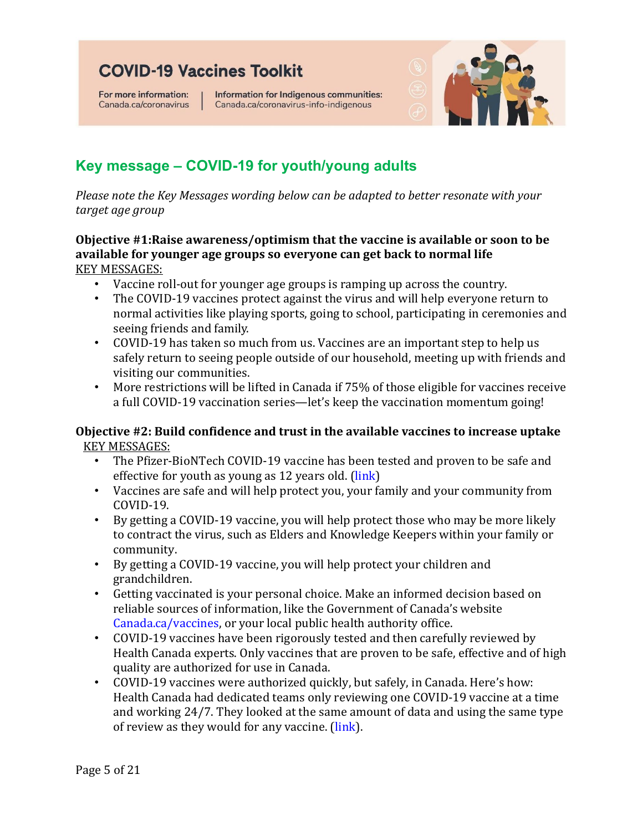For more information: Canada.ca/coronavirus Information for Indigenous communities: Canada.ca/coronavirus-info-indigenous



### <span id="page-5-0"></span>**Key message – COVID-19 for youth/young adults**

*Please note the Key Messages wording below can be adapted to better resonate with your target age group*

#### **Objective #1:Raise awareness/optimism that the vaccine is available or soon to be available for younger age groups so everyone can get back to normal life** KEY MESSAGES:

- Vaccine roll-out for younger age groups is ramping up across the country.
- The COVID-19 vaccines protect against the virus and will help everyone return to normal activities like playing sports, going to school, participating in ceremonies and seeing friends and family.
- COVID-19 has taken so much from us. Vaccines are an important step to help us safely return to seeing people outside of our household, meeting up with friends and visiting our communities.
- More restrictions will be lifted in Canada if 75% of those eligible for vaccines receive a full COVID-19 vaccination series—let's keep the vaccination momentum going!

### **Objective #2: Build confidence and trust in the available vaccines to increase uptake KEY MESSAGES:**<br>The Pfizer-

- The Pfizer-BioNTech COVID-19 vaccine has been tested and proven to be safe and effective for youth as young as 12 years old. [\(link\)](https://www.canada.ca/en/health-canada/news/2021/05/health-canada-authorizes-use-of-the-pfizer-biontech-covid-19-vaccine-in-children-12-to-15-years-of-age.html)
- Vaccines are safe and will help protect you, your family and your community from COVID-19.
- By getting a COVID-19 vaccine, you will help protect those who may be more likely to contract the virus, such as Elders and Knowledge Keepers within your family or community.
- By getting a COVID-19 vaccine, you will help protect your children and grandchildren.
- Getting vaccinated is your personal choice. Make an informed decision based on reliable sources of information, like the Government of Canada's website [Canada.ca/vaccines,](https://www.canada.ca/en/public-health/services/immunization-vaccines.html?utm_source=canada-ca-vaccines-en&utm_medium=vurl&utm_campaign=vaccines) or your local public health authority office.
- COVID-19 vaccines have been rigorously tested and then carefully reviewed by Health Canada experts. Only vaccines that are proven to be safe, effective and of high quality are authorized for use in Canada.
- COVID-19 vaccines were authorized quickly, but safely, in Canada. Here's how: Health Canada had dedicated teams only reviewing one COVID-19 vaccine at a time and working 24/7. They looked at the same amount of data and using the same type of review as they would for any vaccine. [\(link\)](https://www.youtube.com/watch?v=QspUIojGOH0).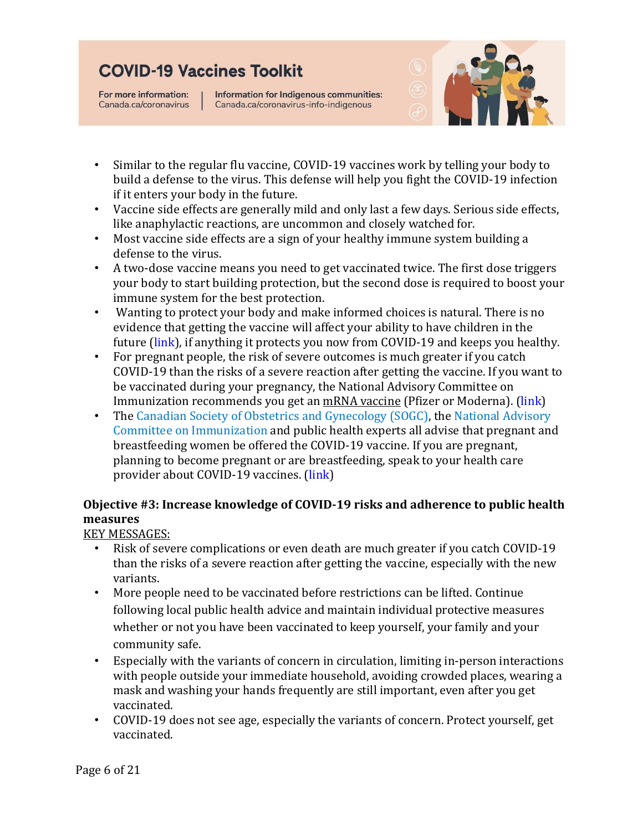For more information: Canada.ca/coronavirus Information for Indigenous communities: Canada.ca/coronavirus-info-indigenous



- Similar to the regular flu vaccine, COVID-19 vaccines work by telling your body to build a defense to the virus. This defense will help you fight the COVID-19 infection if it enters your body in the future.
- Vaccine side effects are generally mild and only last a few days. Serious side effects, like anaphylactic reactions, are uncommon and closely watched for.
- Most vaccine side effects are a sign of your healthy immune system building a defense to the virus.
- A two-dose vaccine means you need to get vaccinated twice. The first dose triggers your body to start building protection, but the second dose is required to boost your immune system for the best protection.
- Wanting to protect your body and make informed choices is natural. There is no evidence that getting the vaccine will affect your ability to have children in the future [\(link\)](https://www.canada.ca/en/public-health/services/diseases/2019-novel-coronavirus-infection/prevention-risks/pregnancy-childbirth-newborn.html), if anything it protects you now from COVID-19 and keeps you healthy.
- For pregnant people, the risk of severe outcomes is much greater if you catch COVID-19 than the risks of a severe reaction after getting the vaccine. If you want to be vaccinated during your pregnancy, the National Advisory Committee on Immunization recommends you get an [mRNA vaccine](https://www.canada.ca/en/health-canada/services/drugs-health-products/covid19-industry/drugs-vaccines-treatments/vaccines/type-mrna.html) (Pfizer or Moderna). [\(link\)](https://www.canada.ca/en/public-health/services/diseases/2019-novel-coronavirus-infection/prevention-risks/pregnancy-childbirth-newborn.html)
- The [Canadian Society of Obstetrics and Gynecology \(SOGC\),](https://www.sogc.org/common/Uploaded%20files/Latest%20News/SOGC_Statement_COVID-19_Vaccination_in_Pregnancy.pdf) the National Advisory [Committee on Immunization](https://www.canada.ca/en/public-health/services/immunization/national-advisory-committee-on-immunization-naci/recommendations-use-covid-19-vaccines.html#a7) and public health experts all advise that pregnant and breastfeeding women be offered the COVID-19 vaccine. If you are pregnant, planning to become pregnant or are breastfeeding, speak to your health care provider about COVID-19 vaccines. [\(link\)](https://immunizebc.ca/covid-19-vaccine-frequently-asked-questions)

### **Objective #3: Increase knowledge of COVID-19 risks and adherence to public health measures**

KEY MESSAGES:

- Risk of severe complications or even death are much greater if you catch COVID-19 than the risks of a severe reaction after getting the vaccine, especially with the new variants.
- More people need to be vaccinated before restrictions can be lifted. Continue following local public health advice and maintain individual protective measures whether or not you have been vaccinated to keep yourself, your family and your community safe.
- Especially with the variants of concern in circulation, limiting in-person interactions with people outside your immediate household, avoiding crowded places, wearing a mask and washing your hands frequently are still important, even after you get vaccinated.
- COVID-19 does not see age, especially the variants of concern. Protect yourself, get vaccinated.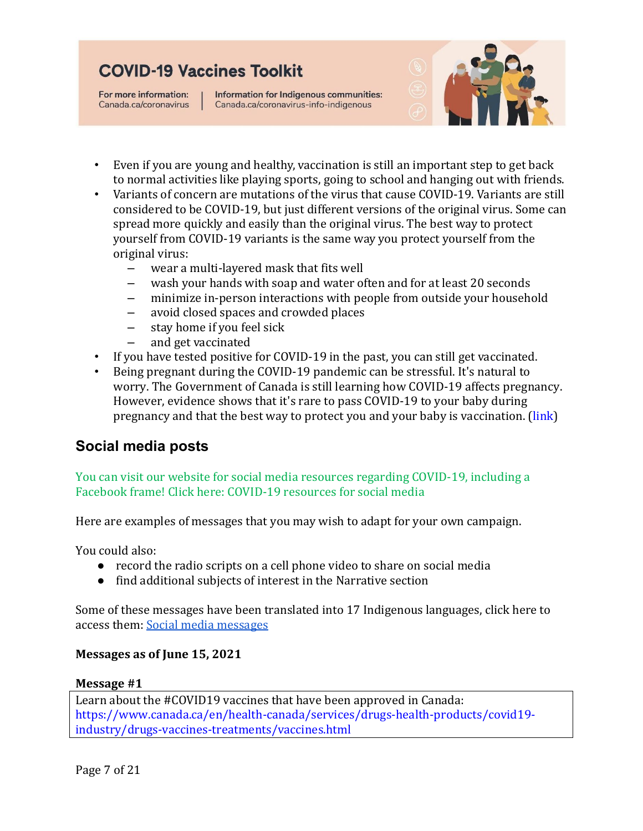For more information: Canada.ca/coronavirus Information for Indigenous communities: Canada.ca/coronavirus-info-indigenous



- Even if you are young and healthy, vaccination is still an important step to get back to normal activities like playing sports, going to school and hanging out with friends.
- Variants of concern are mutations of the virus that cause COVID-19. Variants are still considered to be COVID-19, but just different versions of the original virus. Some can spread more quickly and easily than the original virus. The best way to protect yourself from COVID-19 variants is the same way you protect yourself from the original virus:
	- wear a multi-layered mask that fits well
	- wash your hands with soap and water often and for at least 20 seconds<br>– minimize in-person interactions with people from outside your househe
	- minimize in-person interactions with people from outside your household
	- avoid closed spaces and crowded places<br>– stav home if you feel sick
	- $-$  stay home if you feel sick<br> $-$  and get vaccinated
	- and get vaccinated
- If you have tested positive for COVID-19 in the past, you can still get vaccinated.
- Being pregnant during the COVID-19 pandemic can be stressful. It's natural to worry. The Government of Canada is still learning how COVID-19 affects pregnancy. However, evidence shows that it's rare to pass COVID-19 to your baby during pregnancy and that the best way to protect you and your baby is vaccination. [\(link\)](https://www.canada.ca/en/public-health/services/diseases/2019-novel-coronavirus-infection/prevention-risks/pregnancy-childbirth-newborn.html)

### <span id="page-7-0"></span>**Social media posts**

You can visit our website for social media resources regarding COVID-19, including a Facebook frame! Click here: [COVID-19 resources for social media](https://www.sac-isc.gc.ca/eng/1620651064206/1620651084248?utm_source=doc&utm_medium=guide&utm_content=en-socialresources&utm_campaign=sac-isc-vaccinetoolkit)

Here are examples of messages that you may wish to adapt for your own campaign.

You could also:

- record the radio scripts on a cell phone video to share on social media
- find additional subjects of interest in the Narrative section

Some of these messages have been translated into 17 Indigenous languages, click here to access them: [Social media messages](https://drive.google.com/file/d/1VnoujukgLoWyaoWfAuHhyEhTdpCh6oMw/view?usp=sharing)

#### **Messages as of June 15, 2021**

#### **Message #1**

Learn about the #COVID19 vaccines that have been approved in Canada: [https://www.canada.ca/en/health-canada/services/drugs-health-products/covid19](https://www.canada.ca/en/health-canada/services/drugs-health-products/covid19-industry/drugs-vaccines-treatments/vaccines.html) [industry/drugs-vaccines-treatments/vaccines.html](https://www.canada.ca/en/health-canada/services/drugs-health-products/covid19-industry/drugs-vaccines-treatments/vaccines.html)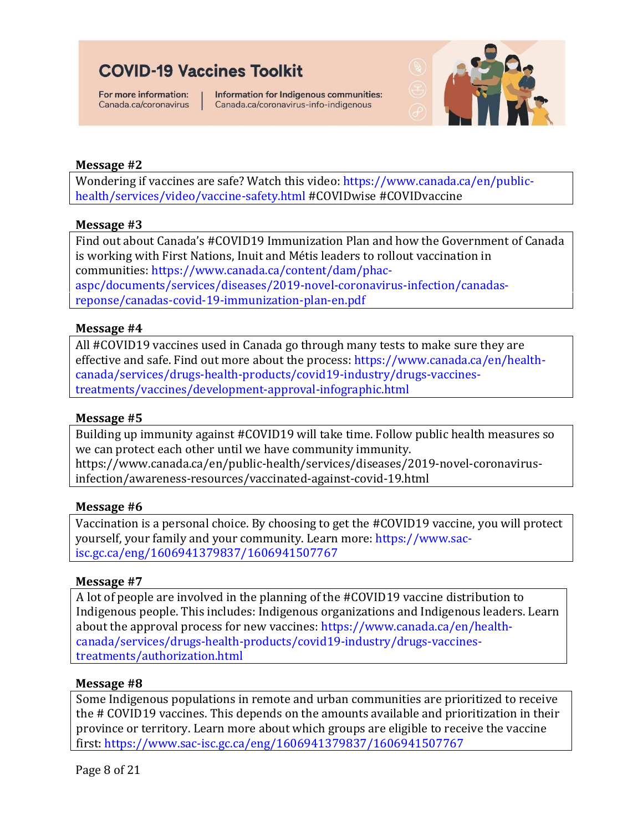For more information: Canada.ca/coronavirus Information for Indigenous communities: Canada.ca/coronavirus-info-indigenous



#### **Message #2**

Wondering if vaccines are safe? Watch this video: [https://www.canada.ca/en/public](https://www.canada.ca/en/public-health/services/video/vaccine-safety.html)[health/services/video/vaccine-safety.html](https://www.canada.ca/en/public-health/services/video/vaccine-safety.html) #COVIDwise #COVIDvaccine

#### **Message #3**

Find out about Canada's #COVID19 Immunization Plan and how the Government of Canada is working with First Nations, Inuit and Métis leaders to rollout vaccination in communities: [https://www.canada.ca/content/dam/phac](https://www.canada.ca/content/dam/phac-aspc/documents/services/diseases/2019-novel-coronavirus-infection/canadas-reponse/canadas-covid-19-immunization-plan-en.pdf)[aspc/documents/services/diseases/2019-novel-coronavirus-infection/canadas](https://www.canada.ca/content/dam/phac-aspc/documents/services/diseases/2019-novel-coronavirus-infection/canadas-reponse/canadas-covid-19-immunization-plan-en.pdf)[reponse/canadas-covid-19-immunization-plan-en.pdf](https://www.canada.ca/content/dam/phac-aspc/documents/services/diseases/2019-novel-coronavirus-infection/canadas-reponse/canadas-covid-19-immunization-plan-en.pdf)

#### **Message #4**

All #COVID19 vaccines used in Canada go through many tests to make sure they are effective and safe. Find out more about the process: [https://www.canada.ca/en/health](https://www.canada.ca/en/health-canada/services/drugs-health-products/covid19-industry/drugs-vaccines-treatments/vaccines/development-approval-infographic.html)[canada/services/drugs-health-products/covid19-industry/drugs-vaccines](https://www.canada.ca/en/health-canada/services/drugs-health-products/covid19-industry/drugs-vaccines-treatments/vaccines/development-approval-infographic.html)[treatments/vaccines/development-approval-infographic.html](https://www.canada.ca/en/health-canada/services/drugs-health-products/covid19-industry/drugs-vaccines-treatments/vaccines/development-approval-infographic.html) 

#### **Message #5**

Building up immunity against #COVID19 will take time. Follow public health measures so we can protect each other until we have community immunity. https://www.canada.ca/en/public-health/services/diseases/2019-novel-coronavirusinfection/awareness-resources/vaccinated-against-covid-19.html

#### **Message #6**

Vaccination is a personal choice. By choosing to get the #COVID19 vaccine, you will protect yourself, your family and your community. Learn more: [https://www.sac](https://www.sac-isc.gc.ca/eng/1606941379837/1606941507767)[isc.gc.ca/eng/1606941379837/1606941507767](https://www.sac-isc.gc.ca/eng/1606941379837/1606941507767)

#### **Message #7**

A lot of people are involved in the planning of the #COVID19 vaccine distribution to Indigenous people. This includes: Indigenous organizations and Indigenous leaders. Learn about the approval process for new vaccines: [https://www.canada.ca/en/health](https://www.canada.ca/en/health-canada/services/drugs-health-products/covid19-industry/drugs-vaccines-treatments/authorization.html)[canada/services/drugs-health-products/covid19-industry/drugs-vaccines](https://www.canada.ca/en/health-canada/services/drugs-health-products/covid19-industry/drugs-vaccines-treatments/authorization.html)[treatments/authorization.html](https://www.canada.ca/en/health-canada/services/drugs-health-products/covid19-industry/drugs-vaccines-treatments/authorization.html)

#### **Message #8**

Some Indigenous populations in remote and urban communities are prioritized to receive the # COVID19 vaccines. This depends on the amounts available and prioritization in their province or territory. Learn more about which groups are eligible to receive the vaccine first:<https://www.sac-isc.gc.ca/eng/1606941379837/1606941507767>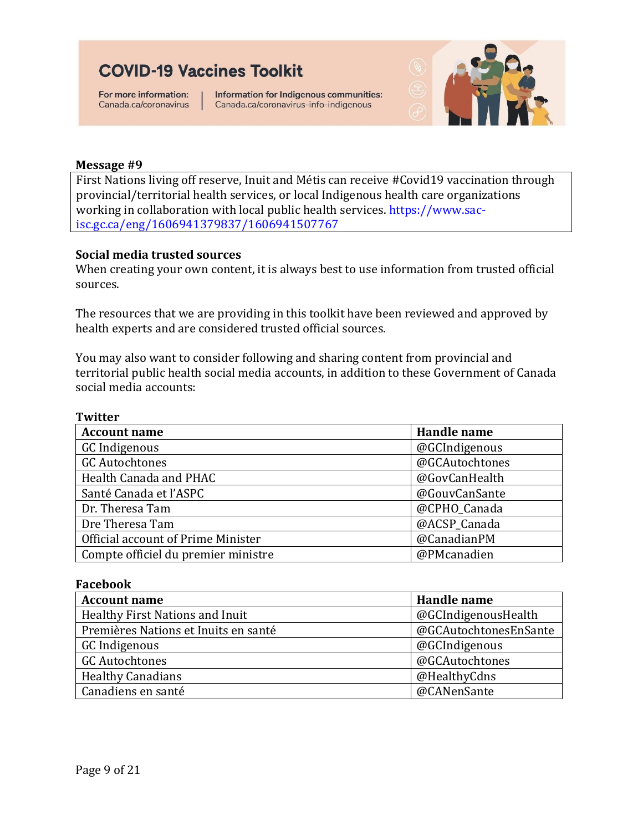For more information: Canada.ca/coronavirus

Information for Indigenous communities: Canada.ca/coronavirus-info-indigenous



#### **Message #9**

First Nations living off reserve, Inuit and Métis can receive #Covid19 vaccination through provincial/territorial health services, or local Indigenous health care organizations working in collaboration with local public health services. [https://www.sac](https://www.sac-isc.gc.ca/eng/1606941379837/1606941507767)[isc.gc.ca/eng/1606941379837/1606941507767](https://www.sac-isc.gc.ca/eng/1606941379837/1606941507767)

#### **Social media trusted sources**

When creating your own content, it is always best to use information from trusted official sources.

The resources that we are providing in this toolkit have been reviewed and approved by health experts and are considered trusted official sources.

You may also want to consider following and sharing content from [provincial and](https://teams.microsoft.com/dl/launcher/launcher.html?url=%2F_%23%2Fl%2Fmeetup-join%2F19%3Ameeting_Y2ZiNWViOWUtOGM2ZS00YzZkLTg3ZGUtYTRmMDM3MmQzMmI1%40thread.v2%2F0%3Fcontext%3D%257b%2522Tid%2522%253a%2522727ce8f2-a756-412e-a4c6-95204ad68d84%2522%252c%2522Oid%2522%253a%2522b7e613e1-c888-4ab1-b141-8d2a6345e6b5%2522%257d%26anon%3Dtrue&type=meetup-join&deeplinkId=8f0eb33c-f0b1-429a-b02b-dfd5aa33beb8&directDl=true&msLaunch=true&enableMobilePage=true&suppressPrompt=true&promptSuccess=true)  [territorial public health social](https://teams.microsoft.com/dl/launcher/launcher.html?url=%2F_%23%2Fl%2Fmeetup-join%2F19%3Ameeting_Y2ZiNWViOWUtOGM2ZS00YzZkLTg3ZGUtYTRmMDM3MmQzMmI1%40thread.v2%2F0%3Fcontext%3D%257b%2522Tid%2522%253a%2522727ce8f2-a756-412e-a4c6-95204ad68d84%2522%252c%2522Oid%2522%253a%2522b7e613e1-c888-4ab1-b141-8d2a6345e6b5%2522%257d%26anon%3Dtrue&type=meetup-join&deeplinkId=8f0eb33c-f0b1-429a-b02b-dfd5aa33beb8&directDl=true&msLaunch=true&enableMobilePage=true&suppressPrompt=true&promptSuccess=true) media accounts, in addition to these Government of Canada social media accounts:

| <b>Twitter</b>                      |                |
|-------------------------------------|----------------|
| <b>Account name</b>                 | Handle name    |
| GC Indigenous                       | @GCIndigenous  |
| <b>GC Autochtones</b>               | @GCAutochtones |
| Health Canada and PHAC              | @GovCanHealth  |
| Santé Canada et l'ASPC              | @GouvCanSante  |
| Dr. Theresa Tam                     | @CPHO Canada   |
| Dre Theresa Tam                     | @ACSP_Canada   |
| Official account of Prime Minister  | @CanadianPM    |
| Compte officiel du premier ministre | @PMcanadien    |

#### **Facebook**

| <b>Account name</b>                  | Handle name           |
|--------------------------------------|-----------------------|
| Healthy First Nations and Inuit      | @GCIndigenousHealth   |
| Premières Nations et Inuits en santé | @GCAutochtonesEnSante |
| GC Indigenous                        | @GCIndigenous         |
| <b>GC Autochtones</b>                | @GCAutochtones        |
| <b>Healthy Canadians</b>             | @HealthyCdns          |
| Canadiens en santé                   | @CANenSante           |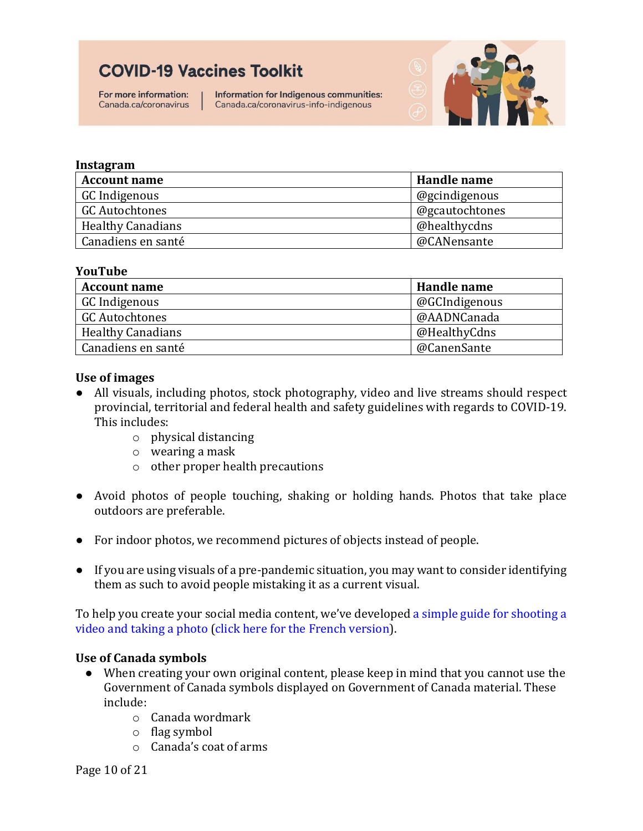For more information: Canada.ca/coronavirus Information for Indigenous communities: Canada.ca/coronavirus-info-indigenous



#### **Instagram**

| <b>Account name</b>      | Handle name    |
|--------------------------|----------------|
| GC Indigenous            | @gcindigenous  |
| GC Autochtones           | @gcautochtones |
| <b>Healthy Canadians</b> | @healthycdns   |
| Canadiens en santé       | @CANensante    |

#### **YouTube**

| <b>Account name</b>      | Handle name   |
|--------------------------|---------------|
| GC Indigenous            | @GCIndigenous |
| <b>GC Autochtones</b>    | @AADNCanada   |
| <b>Healthy Canadians</b> | @HealthyCdns  |
| Canadiens en santé       | @CanenSante   |

#### **Use of images**

- All visuals, including photos, stock photography, video and live streams should respect provincial, territorial and federal health and safety guidelines with regards to COVID-19. This includes:
	- o physical distancing
	- o wearing a mask
	- o other proper health precautions
- Avoid photos of people touching, shaking or holding hands. Photos that take place outdoors are preferable.
- For indoor photos, we recommend pictures of objects instead of people.
- If you are using visuals of a pre-pandemic situation, you may want to consider identifying them as such to avoid people mistaking it as a current visual.

To help you create your social media content, we've develope[d a simple guide for shooting a](https://drive.google.com/file/d/1xjhj-QzXQD2EK0rPV6hJBIwMXpQoMOMp/view?usp=sharing)  [video and taking a photo](https://drive.google.com/file/d/1xjhj-QzXQD2EK0rPV6hJBIwMXpQoMOMp/view?usp=sharing) [\(click here for the French version\)](https://drive.google.com/file/d/1sfULGxqeXZj7gkBw5Dq2CmVD0Cnrm5Vb/view?usp=sharing).

#### **Use of Canada symbols**

- When creating your own original content, please keep in mind that you cannot use the Government of Canada symbols displayed on Government of Canada material. These include:
	- o Canada wordmark
	- o flag symbol
	- o Canada's coat of arms

Page 10 of 21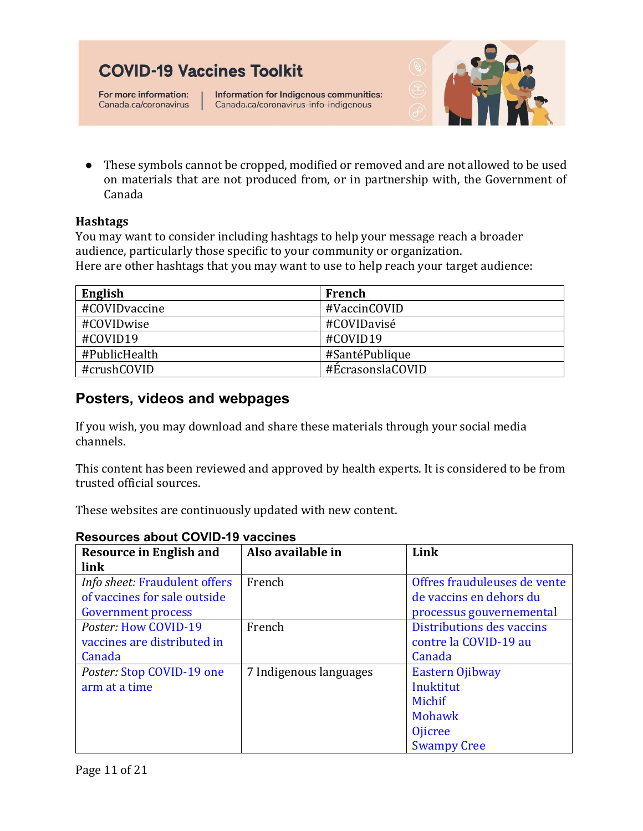For more information: Canada.ca/coronavirus

Information for Indigenous communities: Canada.ca/coronavirus-info-indigenous



● These symbols cannot be cropped, modified or removed and are not allowed to be used on materials that are not produced from, or in partnership with, the Government of Canada

#### **Hashtags**

You may want to consider including hashtags to help your message reach a broader audience, particularly those specific to your community or organization. Here are other hashtags that you may want to use to help reach your target audience:

| English       | French           |
|---------------|------------------|
| #COVIDvaccine | #VaccinCOVID     |
| #COVIDwise    | #COVIDavisé      |
| #COVID19      | #COVID19         |
| #PublicHealth | #SantéPublique   |
| #crushCOVID   | #ÉcrasonslaCOVID |

### <span id="page-11-0"></span>**Posters, videos and webpages**

If you wish, you may download and share these materials through your social media channels.

This content has been reviewed and approved by health experts. It is considered to be from trusted official sources.

These websites are continuously updated with new content.

| <b>Resource in English and</b>       | Also available in      | Link                         |
|--------------------------------------|------------------------|------------------------------|
| link                                 |                        |                              |
| <i>Info sheet: Fraudulent offers</i> | French                 | Offres frauduleuses de vente |
| of vaccines for sale outside         |                        | de vaccins en dehors du      |
| <b>Government process</b>            |                        | processus gouvernemental     |
| Poster: How COVID-19                 | French                 | Distributions des vaccins    |
| vaccines are distributed in          |                        | contre la COVID-19 au        |
| Canada                               |                        | Canada                       |
| Poster: Stop COVID-19 one            | 7 Indigenous languages | Eastern Ojibway              |
| arm at a time                        |                        | Inuktitut                    |
|                                      |                        | Michif                       |
|                                      |                        | Mohawk                       |
|                                      |                        | <b>O</b> jicree              |
|                                      |                        | <b>Swampy Cree</b>           |

#### <span id="page-11-1"></span>**Resources about COVID-19 vaccines**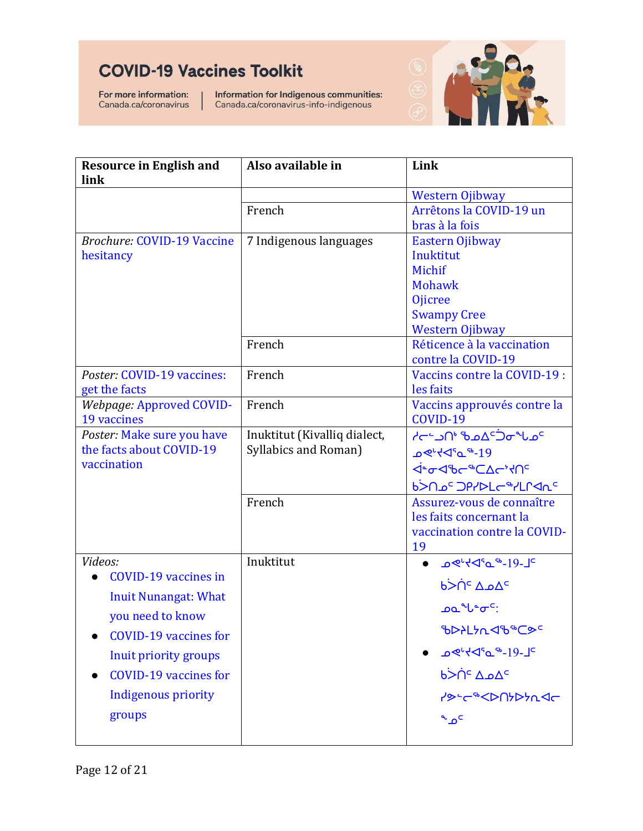For more information: Canada.ca/coronavirus

Information for Indigenous communities:<br>Canada.ca/coronavirus-info-indigenous



| <b>Resource in English and</b>                  | Also available in            | Link                                                    |
|-------------------------------------------------|------------------------------|---------------------------------------------------------|
| link                                            |                              |                                                         |
|                                                 | French                       | <b>Western Ojibway</b><br>Arrêtons la COVID-19 un       |
|                                                 |                              | bras à la fois                                          |
| <b>Brochure: COVID-19 Vaccine</b>               | 7 Indigenous languages       | Eastern Ojibway                                         |
| hesitancy                                       |                              | Inuktitut                                               |
|                                                 |                              | Michif                                                  |
|                                                 |                              | <b>Mohawk</b>                                           |
|                                                 |                              | <b>Ojicree</b>                                          |
|                                                 |                              | <b>Swampy Cree</b>                                      |
|                                                 |                              | Western Ojibway                                         |
|                                                 | French                       | Réticence à la vaccination                              |
|                                                 |                              | contre la COVID-19                                      |
| Poster: COVID-19 vaccines:                      | French                       | Vaccins contre la COVID-19 :                            |
| get the facts                                   |                              | les faits                                               |
| Webpage: Approved COVID-                        | French                       | Vaccins approuvés contre la                             |
| 19 vaccines<br>Poster: Make sure you have       | Inuktitut (Kivalliq dialect, | COVID-19<br><sup>2</sup> מ∪י <i>ס</i> כ־4מם יחבי−א      |
| the facts about COVID-19                        | Syllabics and Roman)         |                                                         |
| vaccination                                     |                              | 19- <sup>∾</sup> ـه°ل≻ <sup>ب</sup> ≫مـ                 |
|                                                 |                              | <b>ᢦᢪᠣ᠊ᢦᡛᡄᢞ</b> ᢗᡌᡄᠷᡘᡰ᠐                                 |
|                                                 |                              | <b>P&gt;UP<sub>c</sub> DbSPFC<sub>a</sub>SLLGU&lt;9</b> |
|                                                 | French                       | Assurez-vous de connaître                               |
|                                                 |                              | les faits concernant la<br>vaccination contre la COVID- |
|                                                 |                              | 19                                                      |
| Videos:                                         | Inuktitut                    |                                                         |
| <b>COVID-19 vaccines in</b>                     |                              | <sup>⊃</sup> ∆م∆ °∩<ٰb                                  |
| <b>Inuit Nunangat: What</b><br>you need to know |                              | ᠘ <b>৽৴৽৽</b> ৽                                         |
| <b>COVID-19 vaccines for</b>                    |                              | ჼႦϷჂႾჂ <i>Ⴡ</i> ჃႧჼჼႠ <del></del> ቃ <sup>ϲ</sup>        |
| Inuit priority groups                           |                              |                                                         |
| <b>COVID-19 vaccines for</b>                    |                              | <u>b&gt;Πς Δης</u>                                      |
| <b>Indigenous priority</b>                      |                              | <b>PS-C&amp;CDN&gt;PACG</b>                             |
| groups                                          |                              | $\sim \Omega$                                           |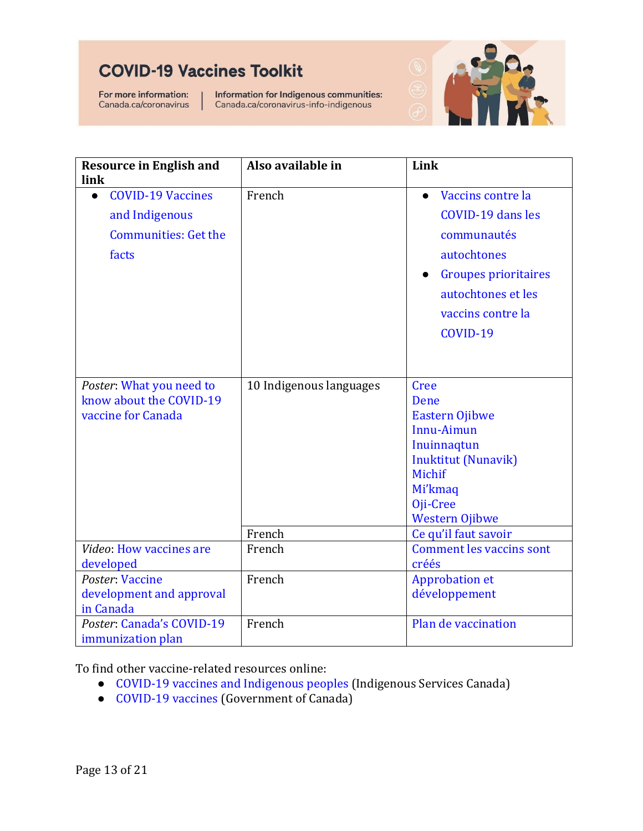For more information: Canada.ca/coronavirus Information for Indigenous communities: Canada.ca/coronavirus-info-indigenous



| <b>Resource in English and</b><br>link                                             | Also available in                 | Link                                                                                                                                                                                 |
|------------------------------------------------------------------------------------|-----------------------------------|--------------------------------------------------------------------------------------------------------------------------------------------------------------------------------------|
| <b>COVID-19 Vaccines</b><br>and Indigenous<br><b>Communities: Get the</b><br>facts | French                            | Vaccins contre la<br>$\bullet$<br>COVID-19 dans les<br>communautés<br>autochtones<br><b>Groupes prioritaires</b><br>$\bullet$<br>autochtones et les<br>vaccins contre la<br>COVID-19 |
| Poster: What you need to<br>know about the COVID-19<br>vaccine for Canada          | 10 Indigenous languages<br>French | Cree<br><b>Dene</b><br><b>Eastern Ojibwe</b><br>Innu-Aimun<br>Inuinnaqtun<br><b>Inuktitut (Nunavik)</b><br>Michif<br>Mi'kmaq<br>Oji-Cree<br><b>Western Ojibwe</b>                    |
| Video: How vaccines are                                                            | French                            | Ce qu'il faut savoir<br><b>Comment les vaccins sont</b>                                                                                                                              |
| developed                                                                          |                                   | créés                                                                                                                                                                                |
| Poster: Vaccine<br>development and approval<br>in Canada                           | French                            | <b>Approbation et</b><br>développement                                                                                                                                               |
| Poster: Canada's COVID-19<br>immunization plan                                     | French                            | Plan de vaccination                                                                                                                                                                  |

To find other vaccine-related resources online:

- [COVID-19 vaccines and Indigenous peoples](https://www.sac-isc.gc.ca/eng/1606941379837/1606941507767?utm_source=doc&utm_medium=guide&utm_content=en-covid19-vaccine-indigenouspeoples&utm_campaign=sac-isc-vaccinetoolkit) (Indigenous Services Canada)
- [COVID-19 vaccines](https://www.canada.ca/en/health-canada/services/drugs-health-products/covid19-industry/drugs-vaccines-treatments/vaccines.html) (Government of Canada)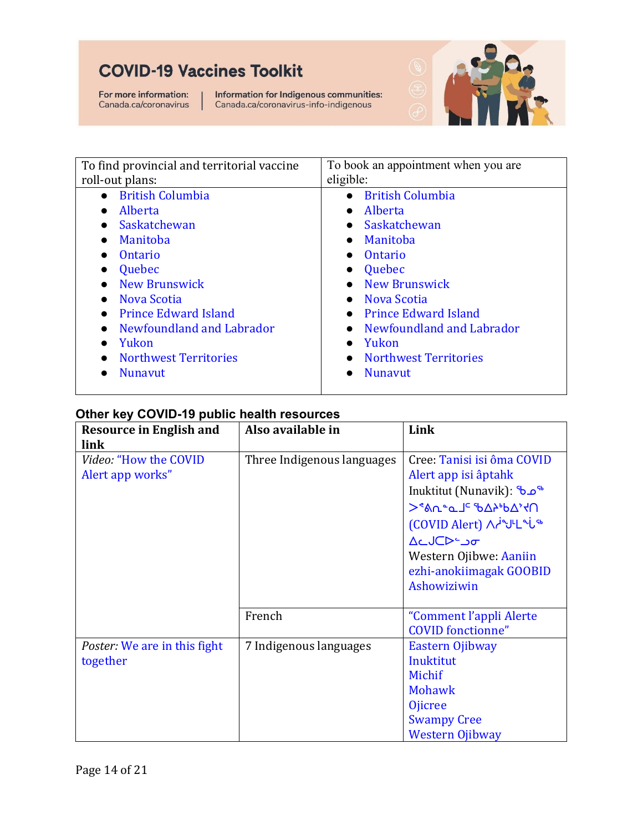For more information: Canada.ca/coronavirus Information for Indigenous communities:<br>Canada.ca/coronavirus-info-indigenous



| To find provincial and territorial vaccine | To book an appointment when you are       |
|--------------------------------------------|-------------------------------------------|
| roll-out plans:                            | eligible:                                 |
| <b>British Columbia</b><br>$\bullet$       | <b>British Columbia</b><br>$\bullet$      |
| Alberta                                    | Alberta<br>$\bullet$                      |
| Saskatchewan                               | Saskatchewan<br>$\bullet$                 |
| Manitoba                                   | Manitoba<br>$\bullet$                     |
| Ontario                                    | Ontario<br>$\bullet$                      |
| Quebec                                     | Quebec<br>$\bullet$                       |
| <b>New Brunswick</b>                       | <b>New Brunswick</b><br>$\bullet$         |
| <b>Nova Scotia</b><br>$\bullet$            | • Nova Scotia                             |
| <b>Prince Edward Island</b>                | • Prince Edward Island                    |
| Newfoundland and Labrador                  | • Newfoundland and Labrador               |
| Yukon                                      | Yukon<br>$\bullet$                        |
| <b>Northwest Territories</b>               | <b>Northwest Territories</b><br>$\bullet$ |
| <b>Nunavut</b>                             | <b>Nunavut</b><br>●                       |

#### <span id="page-14-0"></span>**Other key COVID-19 public health resources**

| <b>Resource in English and</b>      | Also available in          | Link                       |
|-------------------------------------|----------------------------|----------------------------|
| link                                |                            |                            |
| Video: "How the COVID               | Three Indigenous languages | Cree: Tanisi isi ôma COVID |
| Alert app works"                    |                            | Alert app isi âptahk       |
|                                     |                            | ™مى Inuktitut (Nunavik): م |
|                                     |                            | <b>SAU-QU-AD-LO-2010</b>   |
|                                     |                            | (COVID Alert) Aringled in  |
|                                     |                            | ∆∟J⊂Dيo                    |
|                                     |                            | Western Ojibwe: Aaniin     |
|                                     |                            | ezhi-anokiimagak GOOBID    |
|                                     |                            | Ashowiziwin                |
|                                     |                            |                            |
|                                     | French                     | "Comment l'appli Alerte    |
|                                     |                            | <b>COVID</b> fonctionne"   |
| <i>Poster:</i> We are in this fight | 7 Indigenous languages     | Eastern Ojibway            |
| together                            |                            | Inuktitut                  |
|                                     |                            | Michif                     |
|                                     |                            | <b>Mohawk</b>              |
|                                     |                            | <b>Ojicree</b>             |
|                                     |                            | <b>Swampy Cree</b>         |
|                                     |                            | <b>Western Ojibway</b>     |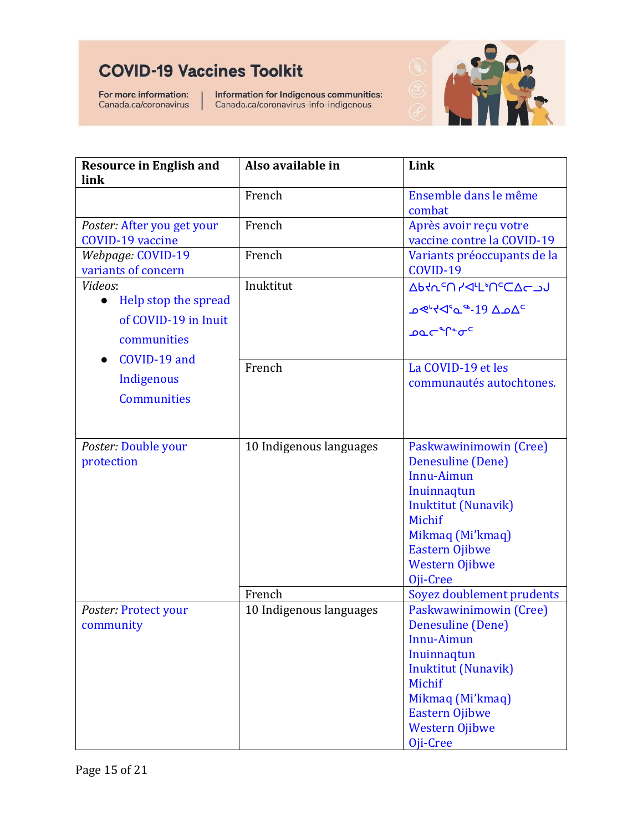For more information: Canada.ca/coronavirus

Information for Indigenous communities:<br>Canada.ca/coronavirus-info-indigenous



| <b>Resource in English and</b><br>link                                              | Also available in                 | Link                                                                                                                                                                                                                            |
|-------------------------------------------------------------------------------------|-----------------------------------|---------------------------------------------------------------------------------------------------------------------------------------------------------------------------------------------------------------------------------|
|                                                                                     | French                            | Ensemble dans le même<br>combat                                                                                                                                                                                                 |
| Poster: After you get your<br><b>COVID-19 vaccine</b>                               | French                            | Après avoir reçu votre<br>vaccine contre la COVID-19                                                                                                                                                                            |
| Webpage: COVID-19<br>variants of concern                                            | French                            | Variants préoccupants de la<br>COVID-19                                                                                                                                                                                         |
| Videos:<br>Help stop the spread<br>$\bullet$<br>of COVID-19 in Inuit<br>communities | Inuktitut                         | <b>AbYLSU YALL'USCACON</b><br>ഛ്⊀⊲°പ°-19 ∆ഛ <sup>പ</sup><br>ഛ <sup>പ</sup> ്പം                                                                                                                                                  |
| COVID-19 and<br>Indigenous<br><b>Communities</b>                                    | French                            | La COVID-19 et les<br>communautés autochtones.                                                                                                                                                                                  |
| Poster: Double your<br>protection                                                   | 10 Indigenous languages           | Paskwawinimowin (Cree)<br>Denesuline (Dene)<br><b>Innu-Aimun</b><br>Inuinnaqtun<br><b>Inuktitut (Nunavik)</b><br>Michif<br>Mikmaq (Mi'kmaq)<br><b>Eastern Ojibwe</b><br><b>Western Ojibwe</b><br>Oji-Cree                       |
| Poster: Protect your<br>community                                                   | French<br>10 Indigenous languages | Soyez doublement prudents<br>Paskwawinimowin (Cree)<br>Denesuline (Dene)<br>Innu-Aimun<br>Inuinnaqtun<br><b>Inuktitut (Nunavik)</b><br>Michif<br>Mikmaq (Mi'kmaq)<br><b>Eastern Ojibwe</b><br><b>Western Ojibwe</b><br>Oji-Cree |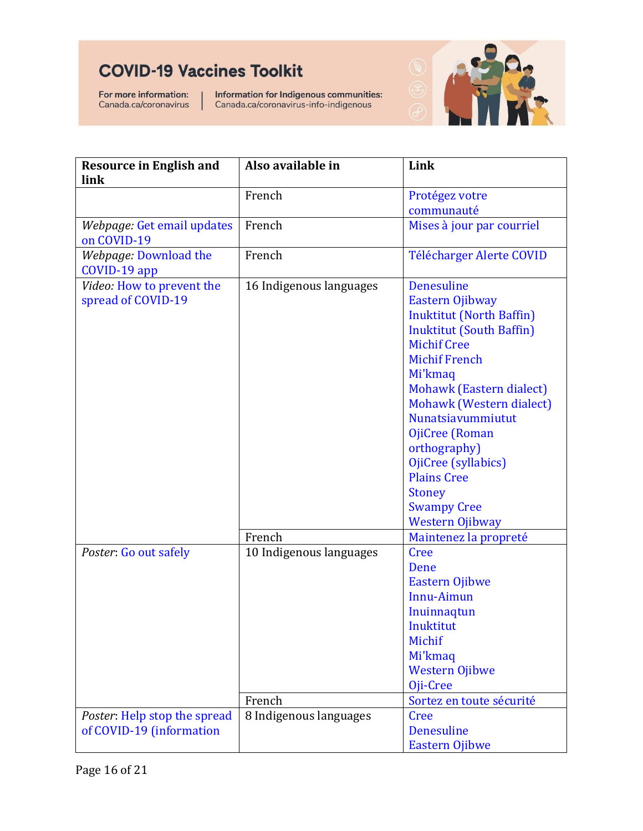For more information: Canada.ca/coronavirus Information for Indigenous communities:<br>Canada.ca/coronavirus-info-indigenous



| <b>Resource in English and</b> | Also available in       | Link                            |
|--------------------------------|-------------------------|---------------------------------|
| link                           |                         |                                 |
|                                | French                  | Protégez votre                  |
|                                |                         | communauté                      |
| Webpage: Get email updates     | French                  | Mises à jour par courriel       |
| on COVID-19                    |                         |                                 |
| Webpage: Download the          | French                  | <b>Télécharger Alerte COVID</b> |
| COVID-19 app                   |                         |                                 |
| Video: How to prevent the      | 16 Indigenous languages | <b>Denesuline</b>               |
| spread of COVID-19             |                         | Eastern Ojibway                 |
|                                |                         | <b>Inuktitut (North Baffin)</b> |
|                                |                         | <b>Inuktitut (South Baffin)</b> |
|                                |                         | <b>Michif Cree</b>              |
|                                |                         | <b>Michif French</b>            |
|                                |                         | Mi'kmaq                         |
|                                |                         | Mohawk (Eastern dialect)        |
|                                |                         | Mohawk (Western dialect)        |
|                                |                         | Nunatsiavummiutut               |
|                                |                         | OjiCree (Roman                  |
|                                |                         | orthography)                    |
|                                |                         | OjiCree (syllabics)             |
|                                |                         | <b>Plains Cree</b>              |
|                                |                         | <b>Stoney</b>                   |
|                                |                         | <b>Swampy Cree</b>              |
|                                |                         | <b>Western Ojibway</b>          |
|                                | French                  | Maintenez la propreté           |
| Poster: Go out safely          | 10 Indigenous languages | Cree                            |
|                                |                         | Dene                            |
|                                |                         | <b>Eastern Ojibwe</b>           |
|                                |                         | Innu-Aimun                      |
|                                |                         | Inuinnaqtun                     |
|                                |                         | Inuktitut                       |
|                                |                         | Michif                          |
|                                |                         | Mi'kmaq                         |
|                                |                         | <b>Western Ojibwe</b>           |
|                                |                         | Oji-Cree                        |
|                                | French                  | Sortez en toute sécurité        |
| Poster: Help stop the spread   | 8 Indigenous languages  | Cree                            |
| of COVID-19 (information       |                         | Denesuline                      |
|                                |                         | <b>Eastern Ojibwe</b>           |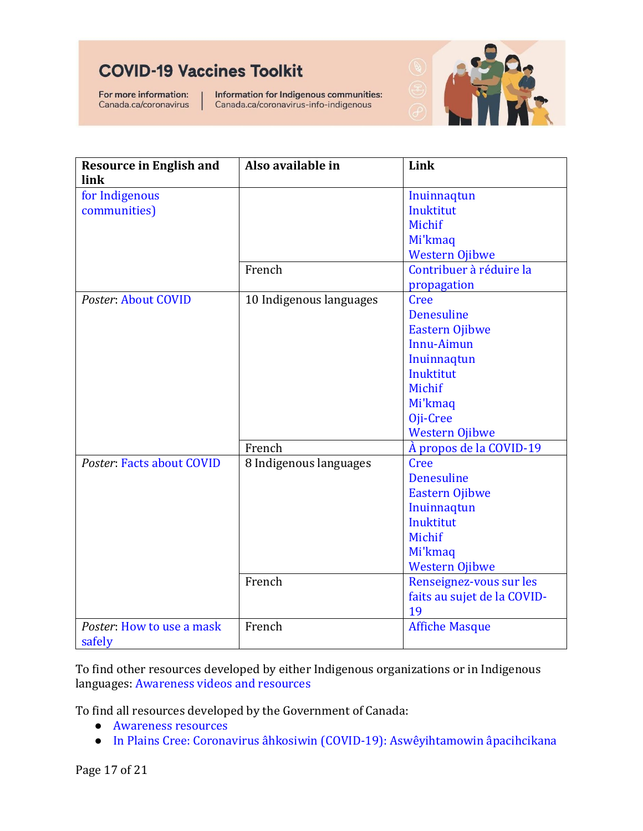For more information: Canada.ca/coronavirus Information for Indigenous communities: Canada.ca/coronavirus-info-indigenous



| <b>Resource in English and</b>      | Also available in       | Link                        |
|-------------------------------------|-------------------------|-----------------------------|
| link                                |                         |                             |
| for Indigenous                      |                         | Inuinnaqtun                 |
| communities)                        |                         | Inuktitut                   |
|                                     |                         | Michif                      |
|                                     |                         | Mi'kmaq                     |
|                                     |                         | <b>Western Ojibwe</b>       |
|                                     | French                  | Contribuer à réduire la     |
|                                     |                         | propagation                 |
| Poster: About COVID                 | 10 Indigenous languages | <b>Cree</b>                 |
|                                     |                         | <b>Denesuline</b>           |
|                                     |                         | <b>Eastern Ojibwe</b>       |
|                                     |                         | <b>Innu-Aimun</b>           |
|                                     |                         | Inuinnaqtun                 |
|                                     |                         | <b>Inuktitut</b>            |
|                                     |                         | Michif                      |
|                                     |                         | Mi'kmaq                     |
|                                     |                         | Oji-Cree                    |
|                                     |                         | <b>Western Ojibwe</b>       |
|                                     | French                  | À propos de la COVID-19     |
| Poster: Facts about COVID           | 8 Indigenous languages  | Cree                        |
|                                     |                         | <b>Denesuline</b>           |
|                                     |                         | <b>Eastern Ojibwe</b>       |
|                                     |                         | Inuinnaqtun                 |
|                                     |                         | <b>Inuktitut</b>            |
|                                     |                         | Michif                      |
|                                     |                         | Mi'kmaq                     |
|                                     |                         | <b>Western Ojibwe</b>       |
|                                     | French                  | Renseignez-vous sur les     |
|                                     |                         | faits au sujet de la COVID- |
|                                     |                         | 19                          |
| Poster: How to use a mask<br>safely | French                  | <b>Affiche Masque</b>       |

To find other resources developed by either Indigenous organizations or in Indigenous languages: [Awareness videos and resources](https://www.sac-isc.gc.ca/eng/1603132339009/1603132369373?utm_source=doc&utm_medium=guide&utm_content=en-covid-awareness-resources-videos&utm_campaign=sac-isc-vaccinetoolkit)

To find all resources developed by the Government of Canada:

- [Awareness resources](https://www.canada.ca/en/public-health/services/diseases/2019-novel-coronavirus-infection/awareness-resources.html)
- In Plains Cree: [Coronavirus âhkosiwin \(COVID-19\): Aswêyihtamowin âpacihcikana](https://www.canada.ca/en/public-health/services/diseases/2019-novel-coronavirus-infection/awareness-resources/plains-cree.html)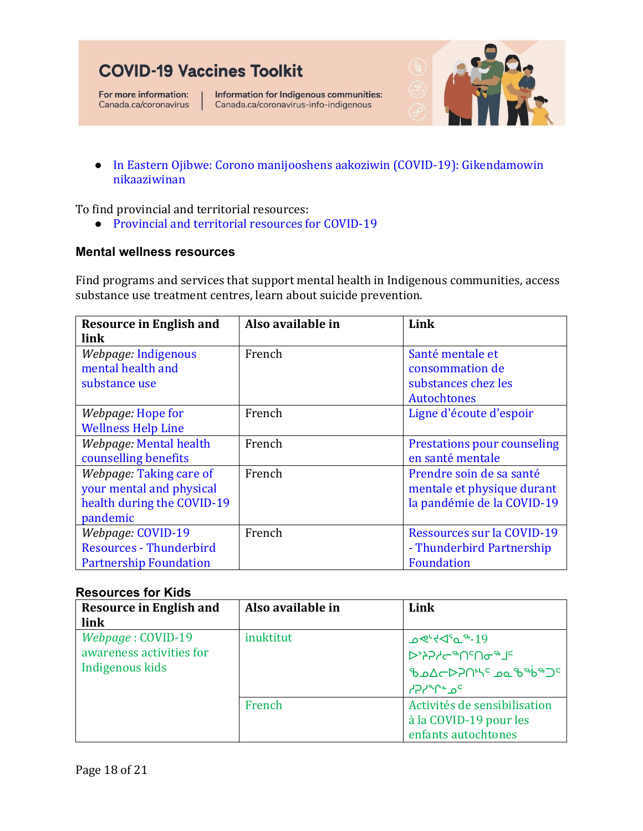For more information: Canada.ca/coronavirus Information for Indigenous communities: Canada.ca/coronavirus-info-indigenous



● In Eastern Ojibwe: [Corono manijooshens aakoziwin \(COVID-19\): Gikendamowin](https://www.canada.ca/en/public-health/services/diseases/2019-novel-coronavirus-infection/awareness-resources/ojibwe-eastern.html)  [nikaaziwinan](https://www.canada.ca/en/public-health/services/diseases/2019-novel-coronavirus-infection/awareness-resources/ojibwe-eastern.html)

To find provincial and territorial resources:

● [Provincial and territorial resources for COVID-19](https://www.canada.ca/en/public-health/services/diseases/2019-novel-coronavirus-infection/symptoms/provincial-territorial-resources-covid-19.html)

#### <span id="page-18-0"></span>**Mental wellness resources**

Find programs and services that support mental health in Indigenous communities, access substance use treatment centres, learn about suicide prevention.

| <b>Resource in English and</b> | Also available in | Link                               |
|--------------------------------|-------------------|------------------------------------|
| link                           |                   |                                    |
| Webpage: Indigenous            | French            | Santé mentale et                   |
| mental health and              |                   | consommation de                    |
| substance use                  |                   | substances chez les                |
|                                |                   | Autochtones                        |
| <i>Webpage:</i> Hope for       | French            | Ligne d'écoute d'espoir            |
| <b>Wellness Help Line</b>      |                   |                                    |
| Webpage: Mental health         | French            | <b>Prestations pour counseling</b> |
| counselling benefits           |                   | en santé mentale                   |
| Webpage: Taking care of        | French            | Prendre soin de sa santé           |
| your mental and physical       |                   | mentale et physique durant         |
| health during the COVID-19     |                   | la pandémie de la COVID-19         |
| pandemic                       |                   |                                    |
| Webpage: COVID-19              | French            | <b>Ressources sur la COVID-19</b>  |
| <b>Resources - Thunderbird</b> |                   | - Thunderbird Partnership          |
| <b>Partnership Foundation</b>  |                   | <b>Foundation</b>                  |

#### <span id="page-18-1"></span>**Resources for Kids**

| <b>Resource in English and</b> | Also available in | Link                                                      |
|--------------------------------|-------------------|-----------------------------------------------------------|
| link                           |                   |                                                           |
| Webpage: COVID-19              | inuktitut         | 19 <sup>-®</sup> ے°5≻ <sup>ہ</sup> ∢ص                     |
| awareness activities for       |                   | <b>DASYSAGUSUA</b>                                        |
| Indigenous kids                |                   | ზა∆←⊳ን∩ <sup>ւ</sup> \ <sup>c</sup> აപ് <sup>ക</sup> ∲®⊃⊂ |
|                                |                   | <sup>P</sup> APY <sup>e</sup> o <sup>c</sup>              |
|                                | French            | Activités de sensibilisation                              |
|                                |                   | à la COVID-19 pour les                                    |
|                                |                   | enfants autochtones                                       |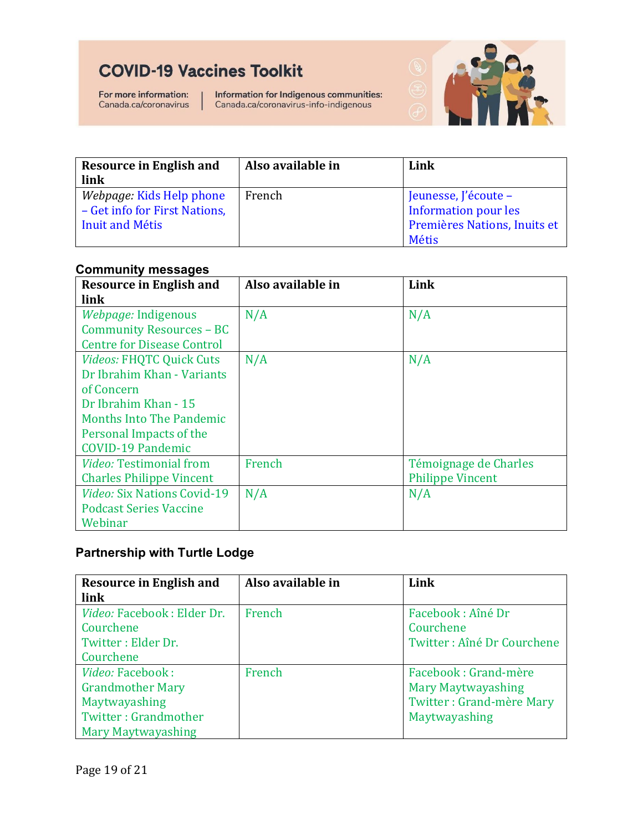For more information: Canada.ca/coronavirus

Information for Indigenous communities:<br>Canada.ca/coronavirus-info-indigenous



| <b>Resource in English and</b> | Also available in | Link                         |
|--------------------------------|-------------------|------------------------------|
| link                           |                   |                              |
| Webpage: Kids Help phone       | French            | Jeunesse, J'écoute -         |
| - Get info for First Nations,  |                   | <b>Information pour les</b>  |
| Inuit and Métis                |                   | Premières Nations, Inuits et |
|                                |                   | <b>Métis</b>                 |

#### <span id="page-19-0"></span>**Community messages**

| <b>Resource in English and</b>     | Also available in | Link                    |
|------------------------------------|-------------------|-------------------------|
| link                               |                   |                         |
| Webpage: Indigenous                | N/A               | N/A                     |
| Community Resources - BC           |                   |                         |
| <b>Centre for Disease Control</b>  |                   |                         |
| <b>Videos: FHQTC Quick Cuts</b>    | N/A               | N/A                     |
| Dr Ibrahim Khan - Variants         |                   |                         |
| of Concern                         |                   |                         |
| Dr Ibrahim Khan - 15               |                   |                         |
| <b>Months Into The Pandemic</b>    |                   |                         |
| Personal Impacts of the            |                   |                         |
| <b>COVID-19 Pandemic</b>           |                   |                         |
| <b>Video: Testimonial from</b>     | French            | Témoignage de Charles   |
| <b>Charles Philippe Vincent</b>    |                   | <b>Philippe Vincent</b> |
| <i>Video: Six Nations Covid-19</i> | N/A               | N/A                     |
| <b>Podcast Series Vaccine</b>      |                   |                         |
| Webinar                            |                   |                         |

#### <span id="page-19-1"></span>**Partnership with Turtle Lodge**

| <b>Resource in English and</b>    | Also available in | Link                            |
|-----------------------------------|-------------------|---------------------------------|
| link                              |                   |                                 |
| <i>Video: Facebook: Elder Dr.</i> | French            | Facebook: Aîné Dr               |
| Courchene                         |                   | Courchene                       |
| Twitter: Elder Dr.                |                   | Twitter: Aîné Dr Courchene      |
| Courchene                         |                   |                                 |
| Video: Facebook:                  | French            | Facebook: Grand-mère            |
| <b>Grandmother Mary</b>           |                   | <b>Mary Maytwayashing</b>       |
| Maytwayashing                     |                   | <b>Twitter: Grand-mère Mary</b> |
| Twitter: Grandmother              |                   | Maytwayashing                   |
| Mary Maytwayashing                |                   |                                 |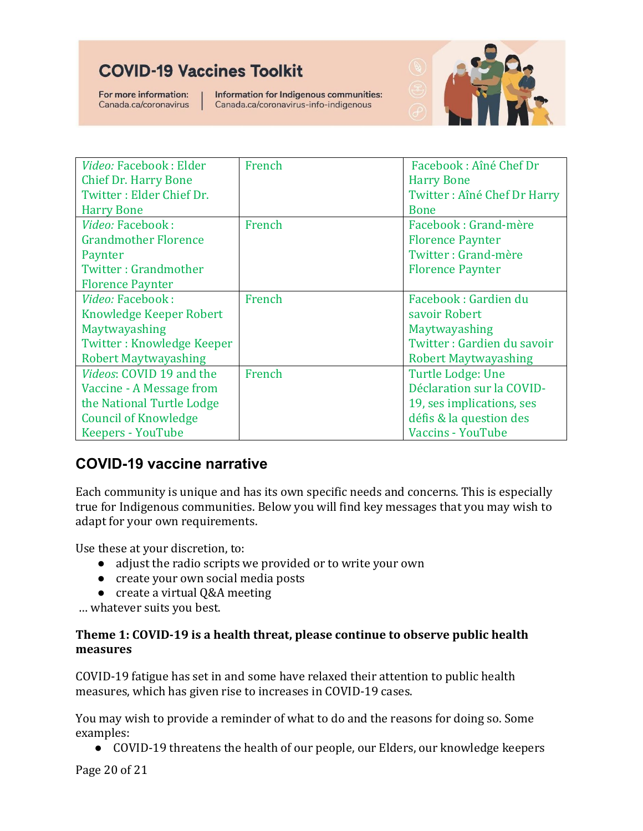For more information: Canada.ca/coronavirus

Information for Indigenous communities: Canada.ca/coronavirus-info-indigenous



| Video: Facebook: Elder           | French | Facebook: Aîné Chef Dr      |
|----------------------------------|--------|-----------------------------|
| <b>Chief Dr. Harry Bone</b>      |        | <b>Harry Bone</b>           |
| Twitter: Elder Chief Dr.         |        | Twitter: Aîné Chef Dr Harry |
| <b>Harry Bone</b>                |        | <b>Bone</b>                 |
| Video: Facebook:                 | French | Facebook: Grand-mère        |
| <b>Grandmother Florence</b>      |        | <b>Florence Paynter</b>     |
| Paynter                          |        | Twitter: Grand-mère         |
| Twitter: Grandmother             |        | <b>Florence Paynter</b>     |
| <b>Florence Paynter</b>          |        |                             |
| Video: Facebook:                 | French | Facebook: Gardien du        |
| Knowledge Keeper Robert          |        | savoir Robert               |
| Maytwayashing                    |        | Maytwayashing               |
| <b>Twitter: Knowledge Keeper</b> |        | Twitter: Gardien du savoir  |
| <b>Robert Maytwayashing</b>      |        | <b>Robert Maytwayashing</b> |
| <i>Videos: COVID 19 and the</i>  | French | Turtle Lodge: Une           |
| Vaccine - A Message from         |        | Déclaration sur la COVID-   |
| the National Turtle Lodge        |        | 19, ses implications, ses   |
| <b>Council of Knowledge</b>      |        | défis & la question des     |
| <b>Keepers - YouTube</b>         |        | <b>Vaccins - YouTube</b>    |

### <span id="page-20-0"></span>**COVID-19 vaccine narrative**

Each community is unique and has its own specific needs and concerns. This is especially true for Indigenous communities. Below you will find key messages that you may wish to adapt for your own requirements.

Use these at your discretion, to:

- adjust the radio scripts we provided or to write your own
- create your own social media posts
- create a virtual Q&A meeting

… whatever suits you best.

#### **Theme 1: COVID-19 is a health threat, please continue to observe public health measures**

COVID-19 fatigue has set in and some have relaxed their attention to public health measures, which has given rise to increases in COVID-19 cases.

You may wish to provide a reminder of what to do and the reasons for doing so. Some examples:

● COVID-19 threatens the health of our people, our Elders, our knowledge keepers

Page 20 of 21